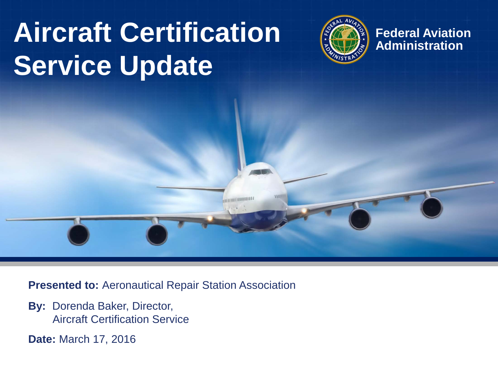## **Aircraft Certification**  $\left(\frac{\partial f}{\partial x}\right)$  Federal Aviation **Service Update**



**Presented to:** Aeronautical Repair Station Association

**CONTINUITIES** 

**By:** Dorenda Baker, Director, Aircraft Certification Service

**Date:** March 17, 2016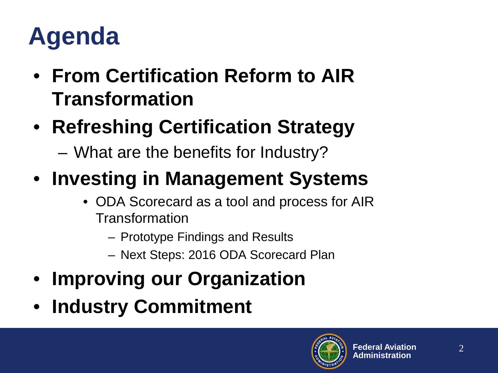#### **Agenda**

- **From Certification Reform to AIR Transformation**
- **Refreshing Certification Strategy**
	- What are the benefits for Industry?
- **Investing in Management Systems**
	- ODA Scorecard as a tool and process for AIR Transformation
		- Prototype Findings and Results
		- Next Steps: 2016 ODA Scorecard Plan
- **Improving our Organization**
- **Industry Commitment**

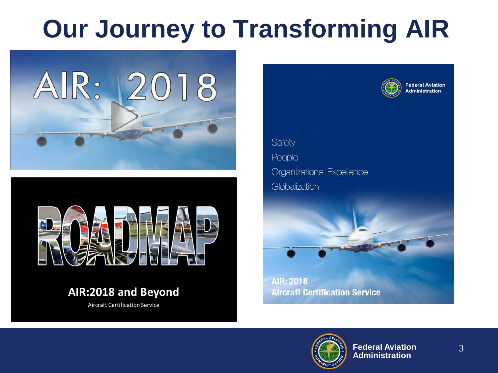#### **Our Journey to Transforming AIR**





#### AIR:2018 and Beyond

**Aircraft Certification Service** 



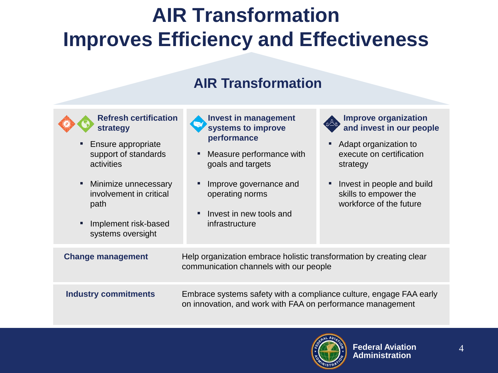#### **AIR Transformation Improves Efficiency and Effectiveness**

#### **AIR Transformation**



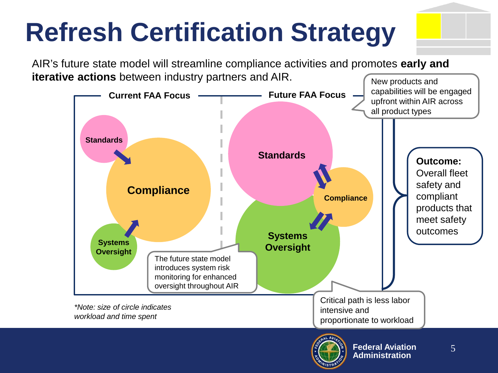# **Refresh Certification Strategy**

AIR's future state model will streamline compliance activities and promotes **early and iterative actions** between industry partners and AIR. New products and



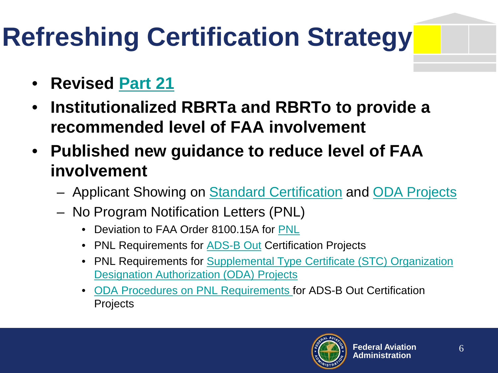# **Refreshing Certification Strategy**

- **Revised [Part 21](https://www.federalregister.gov/articles/2015/10/01/2015-24950/changes-to-production-certificates-and-approvals)**
- **Institutionalized RBRTa and RBRTo to provide a recommended level of FAA involvement**
- **Published new guidance to reduce level of FAA involvement**
	- Applicant Showing on [Standard Certification](http://rgl.faa.gov/Regulatory_and_Guidance_Library/rgPolicy.nsf/0/C5A5867FD4BA36D186257ED0005D1998?OpenDocument) and [ODA Projects](http://rgl.faa.gov/Regulatory_and_Guidance_Library/rgPolicy.nsf/0/C5B0B0561BE1E61F86257ED0005DE243?OpenDocument)
	- No Program Notification Letters (PNL)
		- Deviation to FAA Order 8100.15A for [PNL](http://rgl.faa.gov/Regulatory_and_Guidance_Library/rgPolicy.nsf/0/072CFF1A45CD501886257BA3006ED51C?OpenDocument&Highlight=program%20notification%20letter%20(pnl))
		- PNL Requirements for **[ADS-B Out](http://rgl.faa.gov/Regulatory_and_Guidance_Library/rgPolicy.nsf/0/3DD1702DF54A8F0F86257E230070962D?OpenDocument&Highlight=project%20notification%20letter)** Certification Projects
		- PNL Requirements for Supplemental Type Certificate (STC) Organization [Designation Authorization \(ODA\) Projects](http://rgl.faa.gov/Regulatory_and_Guidance_Library/rgPolicy.nsf/0/6D1B84988DD7F78A86257F00005EADFC?OpenDocument&Highlight=pnl)
		- [ODA Procedures on PNL Requirements](http://rgl.faa.gov/Regulatory_and_Guidance_Library/rgPolicy.nsf/0/7723E9CF3EE94AA186257E0400657DA0?OpenDocument&Highlight=pnl) for ADS-B Out Certification **Projects**

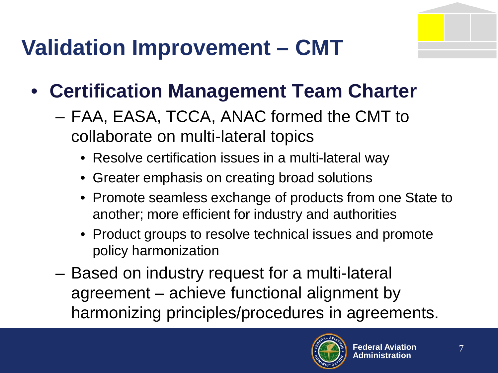#### **Validation Improvement – CMT**

- **Certification Management Team Charter**
	- FAA, EASA, TCCA, ANAC formed the CMT to collaborate on multi-lateral topics
		- Resolve certification issues in a multi-lateral way
		- Greater emphasis on creating broad solutions
		- Promote seamless exchange of products from one State to another; more efficient for industry and authorities
		- Product groups to resolve technical issues and promote policy harmonization
	- Based on industry request for a multi-lateral agreement – achieve functional alignment by harmonizing principles/procedures in agreements.

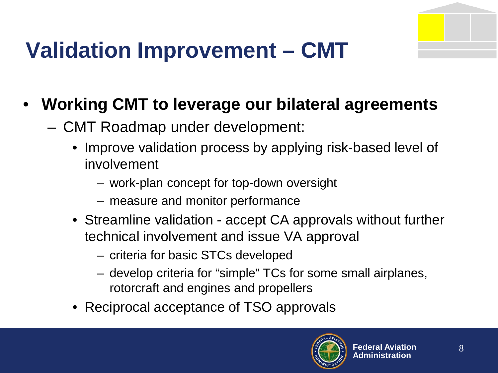#### **Validation Improvement – CMT**

#### • **Working CMT to leverage our bilateral agreements**

- CMT Roadmap under development:
	- Improve validation process by applying risk-based level of involvement
		- work-plan concept for top-down oversight
		- measure and monitor performance
	- Streamline validation accept CA approvals without further technical involvement and issue VA approval
		- criteria for basic STCs developed
		- develop criteria for "simple" TCs for some small airplanes, rotorcraft and engines and propellers
	- Reciprocal acceptance of TSO approvals

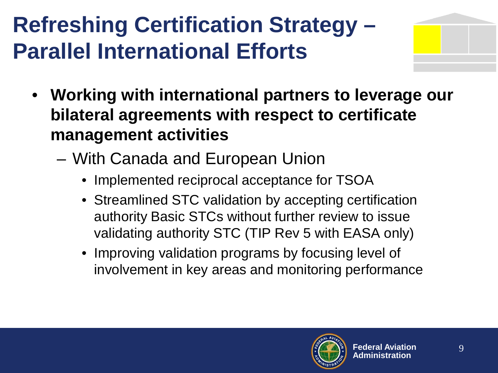#### **Refreshing Certification Strategy – Parallel International Efforts**



- **Working with international partners to leverage our bilateral agreements with respect to certificate management activities**
	- With Canada and European Union
		- Implemented reciprocal acceptance for TSOA
		- Streamlined STC validation by accepting certification authority Basic STCs without further review to issue validating authority STC (TIP Rev 5 with EASA only)
		- Improving validation programs by focusing level of involvement in key areas and monitoring performance

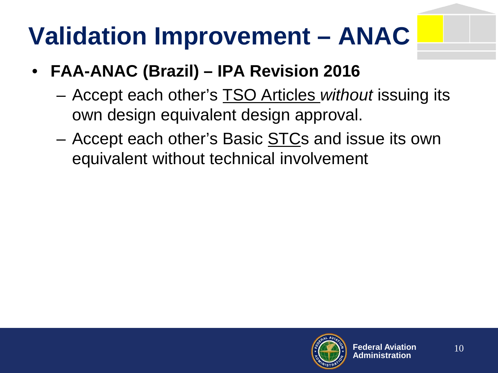## **Validation Improvement – ANAC**

- **FAA-ANAC (Brazil) – IPA Revision 2016**
	- Accept each other's TSO Articles *without* issuing its own design equivalent design approval.
	- Accept each other's Basic **STCs** and issue its own equivalent without technical involvement

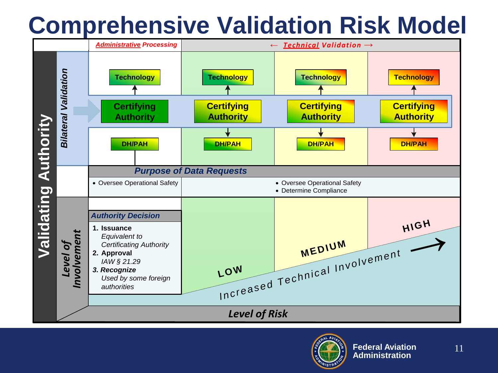#### **Comprehensive Validation Risk Model**



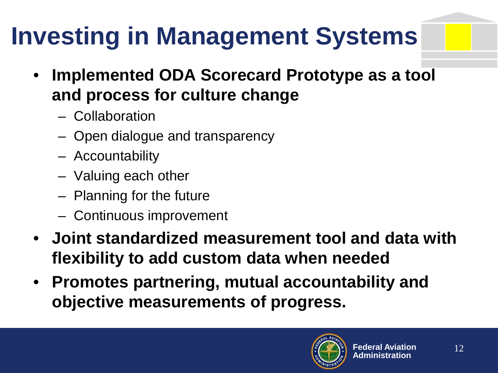## **Investing in Management Systems**

- **Implemented ODA Scorecard Prototype as a tool and process for culture change**
	- Collaboration
	- Open dialogue and transparency
	- Accountability
	- Valuing each other
	- Planning for the future
	- Continuous improvement
- **Joint standardized measurement tool and data with flexibility to add custom data when needed**
- **Promotes partnering, mutual accountability and objective measurements of progress.**

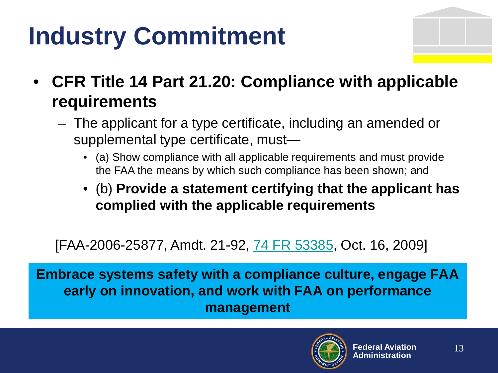## **Industry Commitment**



- **CFR Title 14 Part 21.20: Compliance with applicable requirements**
	- The applicant for a type certificate, including an amended or supplemental type certificate, must—
		- (a) Show compliance with all applicable requirements and must provide the FAA the means by which such compliance has been shown; and
		- (b) **Provide a statement certifying that the applicant has complied with the applicable requirements**

[FAA-2006-25877, Amdt. 21-92, [74 FR 53385](http://frwebgate.access.gpo.gov/cgi-bin/getpage.cgi?dbname=2009_register&position=all&page=53385), Oct. 16, 2009]

**Embrace systems safety with a compliance culture, engage FAA early on innovation, and work with FAA on performance management**

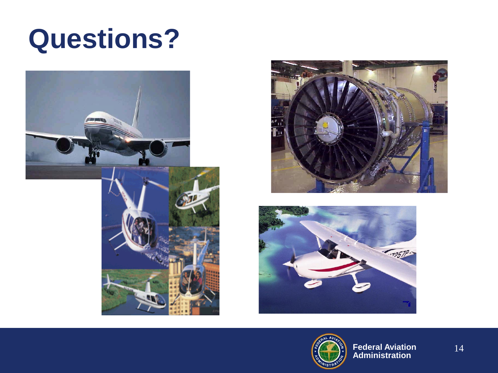### **Questions?**







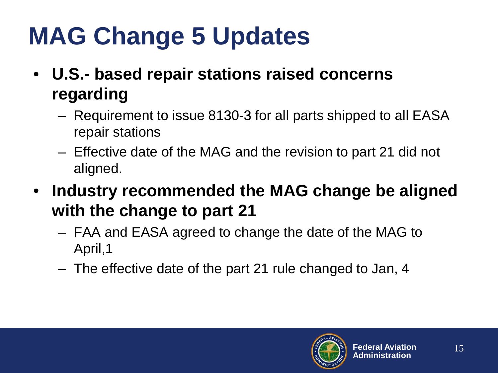## **MAG Change 5 Updates**

- **U.S.- based repair stations raised concerns regarding**
	- Requirement to issue 8130-3 for all parts shipped to all EASA repair stations
	- Effective date of the MAG and the revision to part 21 did not aligned.
- **Industry recommended the MAG change be aligned with the change to part 21**
	- FAA and EASA agreed to change the date of the MAG to April,1
	- The effective date of the part 21 rule changed to Jan, 4

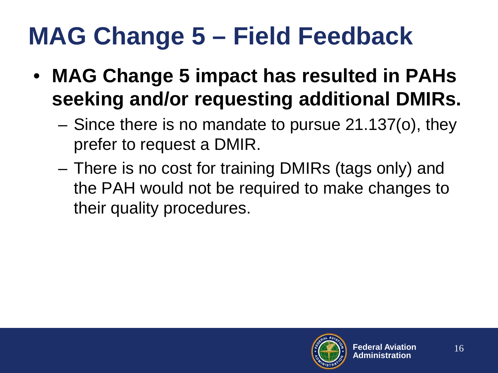#### **MAG Change 5 – Field Feedback**

- **MAG Change 5 impact has resulted in PAHs seeking and/or requesting additional DMIRs.**
	- Since there is no mandate to pursue 21.137(o), they prefer to request a DMIR.
	- There is no cost for training DMIRs (tags only) and the PAH would not be required to make changes to their quality procedures.

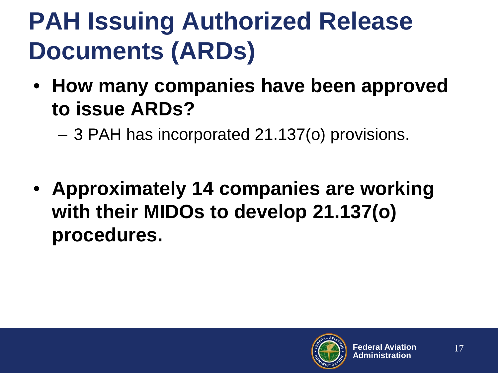### **PAH Issuing Authorized Release Documents (ARDs)**

• **How many companies have been approved to issue ARDs?**

– 3 PAH has incorporated 21.137(o) provisions.

• **Approximately 14 companies are working with their MIDOs to develop 21.137(o) procedures.**

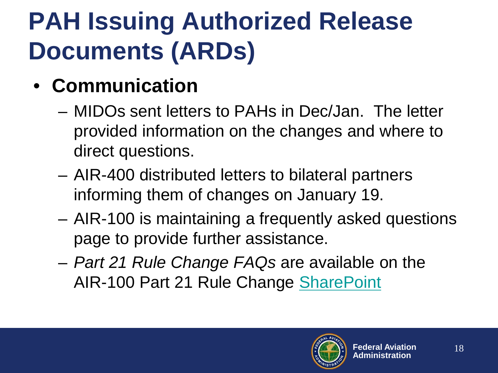## **PAH Issuing Authorized Release Documents (ARDs)**

- **Communication**
	- MIDOs sent letters to PAHs in Dec/Jan. The letter provided information on the changes and where to direct questions.
	- AIR-400 distributed letters to bilateral partners informing them of changes on January 19.
	- AIR-100 is maintaining a frequently asked questions page to provide further assistance.
	- *Part 21 Rule Change FAQs* are available on the AIR-100 Part 21 Rule Change [SharePoint](https://avssp.faa.gov/avs/air100/part21/SitePages/Home.aspx)